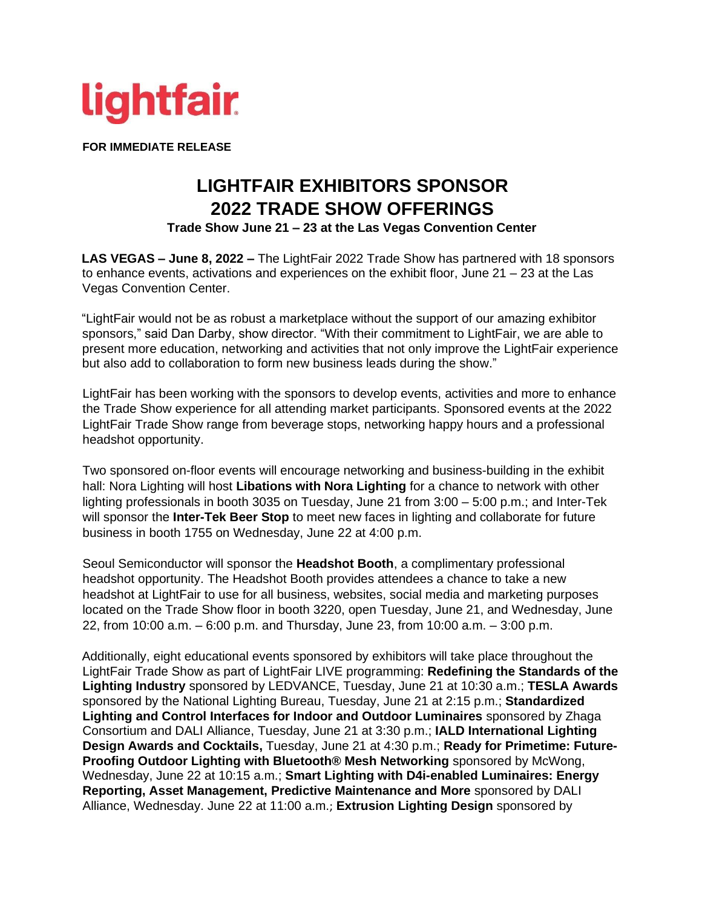

**FOR IMMEDIATE RELEASE** 

## **LIGHTFAIR EXHIBITORS SPONSOR 2022 TRADE SHOW OFFERINGS**

**Trade Show June 21 – 23 at the Las Vegas Convention Center**

**LAS VEGAS – June 8, 2022 –** The LightFair 2022 Trade Show has partnered with 18 sponsors to enhance events, activations and experiences on the exhibit floor, June 21 – 23 at the Las Vegas Convention Center.

"LightFair would not be as robust a marketplace without the support of our amazing exhibitor sponsors," said Dan Darby, show director. "With their commitment to LightFair, we are able to present more education, networking and activities that not only improve the LightFair experience but also add to collaboration to form new business leads during the show."

LightFair has been working with the sponsors to develop events, activities and more to enhance the Trade Show experience for all attending market participants. Sponsored events at the 2022 LightFair Trade Show range from beverage stops, networking happy hours and a professional headshot opportunity.

Two sponsored on-floor events will encourage networking and business-building in the exhibit hall: Nora Lighting will host **Libations with Nora Lighting** for a chance to network with other lighting professionals in booth 3035 on Tuesday, June 21 from 3:00 – 5:00 p.m.; and Inter-Tek will sponsor the **Inter-Tek Beer Stop** to meet new faces in lighting and collaborate for future business in booth 1755 on Wednesday, June 22 at 4:00 p.m.

Seoul Semiconductor will sponsor the **Headshot Booth**, a complimentary professional headshot opportunity. The Headshot Booth provides attendees a chance to take a new headshot at LightFair to use for all business, websites, social media and marketing purposes located on the Trade Show floor in booth 3220, open Tuesday, June 21, and Wednesday, June 22, from 10:00 a.m. – 6:00 p.m. and Thursday, June 23, from 10:00 a.m. – 3:00 p.m.

Additionally, eight educational events sponsored by exhibitors will take place throughout the LightFair Trade Show as part of LightFair LIVE programming: **Redefining the Standards of the Lighting Industry** sponsored by LEDVANCE, Tuesday, June 21 at 10:30 a.m.; **TESLA Awards** sponsored by the National Lighting Bureau, Tuesday, June 21 at 2:15 p.m.; **Standardized Lighting and Control Interfaces for Indoor and Outdoor Luminaires** sponsored by Zhaga Consortium and DALI Alliance, Tuesday, June 21 at 3:30 p.m.; **IALD International Lighting Design Awards and Cocktails,** Tuesday, June 21 at 4:30 p.m.; **Ready for Primetime: Future-Proofing Outdoor Lighting with Bluetooth® Mesh Networking** sponsored by McWong, Wednesday, June 22 at 10:15 a.m.; **Smart Lighting with D4i-enabled Luminaires: Energy Reporting, Asset Management, Predictive Maintenance and More** sponsored by DALI Alliance, Wednesday. June 22 at 11:00 a.m.; **Extrusion Lighting Design** sponsored by